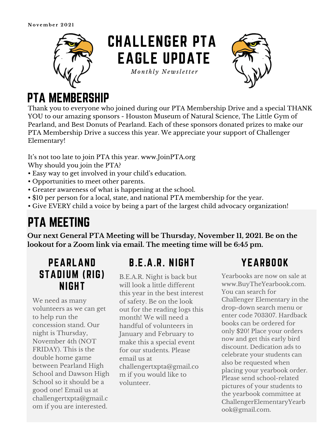

# CHALLENGER PTA EAGLE UPDATE

*Mo n t h l y N e w sl e tt e r*



### PTA MEMBERSHIP

Thank you to everyone who joined during our PTA Membership Drive and a special THANK YOU to our amazing sponsors - Houston Museum of Natural Science, The Little Gym of Pearland, and Best Donuts of Pearland. Each of these sponsors donated prizes to make our PTA Membership Drive a success this year. We appreciate your support of Challenger Elementary!

It's not too late to join PTA this year. www.JoinPTA.org Why should you join the PTA?

- Easy way to get involved in your child's education.
- Opportunities to meet other parents.
- Greater awareness of what is happening at the school.
- \$10 per person for a local, state, and national PTA membership for the year.
- Give EVERY child a voice by being a part of the largest child advocacy organization!

## PTA MEETING

**Our next General PTA Meeting will be Thursday, November 11, 2021. Be on the lookout for a Zoom link via email. The meeting time will be 6:45 pm.**

#### PEARLAND STADIUM (RIG) NIGHT

We need as many volunteers as we can get to help run the concession stand. Our night is Thursday, November 4th (NOT FRIDAY). This is the double home game between Pearland High School and Dawson High School so it should be a good one! Email us at challengertxpta@gmail.c om if you are interested.

#### B.E.A.R. NIGHT

B.E.A.R. Night is back but will look a little different this year in the best interest of safety. Be on the look out for the reading logs this month! We will need a handful of volunteers in January and February to make this a special event for our students. Please email us at [challengertxpta@gmail.co](mailto:challengertxpta@gmail.com) m if you would like to volunteer.

### YEARBOOK

Yearbooks are now on sale at [www.BuyTheYearbook.com](http://www.buytheyearbook.com/). You can search for Challenger Elementary in the drop-down search menu or enter code 703307. Hardback books can be ordered for only \$20! Place your orders now and get this early bird discount. Dedication ads to celebrate your students can also be requested when placing your yearbook order. Please send school-related pictures of your students to the yearbook committee at [ChallengerElementaryYearb](mailto:ChallengerElementaryYearbook@gmail.com) ook@gmail.com.